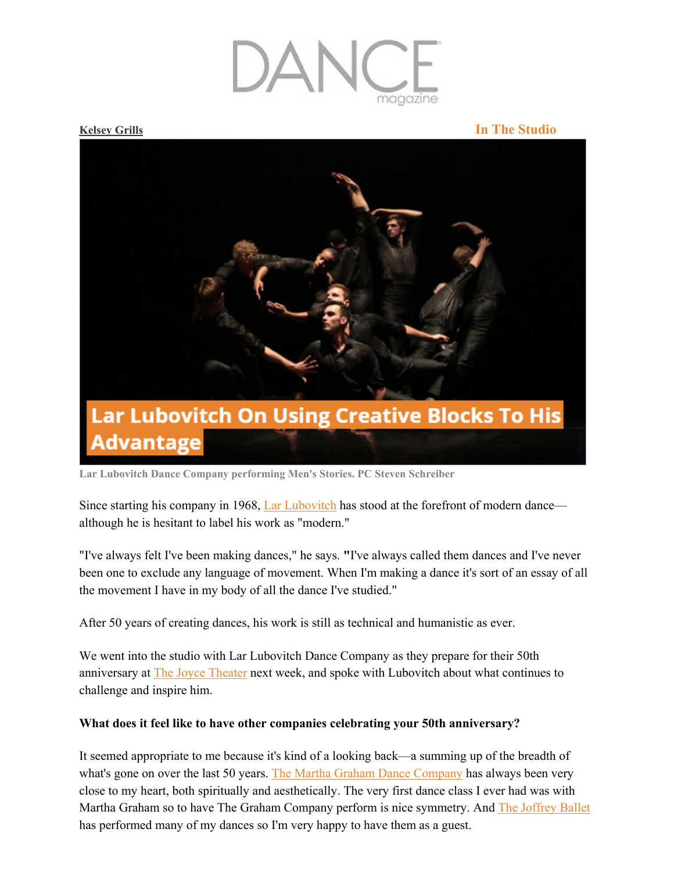

## **Kelsey Grills In The Studio**



**Lar Lubovitch Dance Company performing Men's Stories. PC Steven Schreiber** 

Since starting his company in 1968, Lar Lubovitch has stood at the forefront of modern dance although he is hesitant to label his work as "modern."

"I've always felt I've been making dances," he says. **"**I've always called them dances and I've never been one to exclude any language of movement. When I'm making a dance it's sort of an essay of all the movement I have in my body of all the dance I've studied."

After 50 years of creating dances, his work is still as technical and humanistic as ever.

We went into the studio with Lar Lubovitch Dance Company as they prepare for their 50th anniversary at The Joyce Theater next week, and spoke with Lubovitch about what continues to challenge and inspire him.

# **What does it feel like to have other companies celebrating your 50th anniversary?**

It seemed appropriate to me because it's kind of a looking back—a summing up of the breadth of what's gone on over the last 50 years. The Martha Graham Dance Company has always been very close to my heart, both spiritually and aesthetically. The very first dance class I ever had was with Martha Graham so to have The Graham Company perform is nice symmetry. And The Joffrey Ballet has performed many of my dances so I'm very happy to have them as a guest.